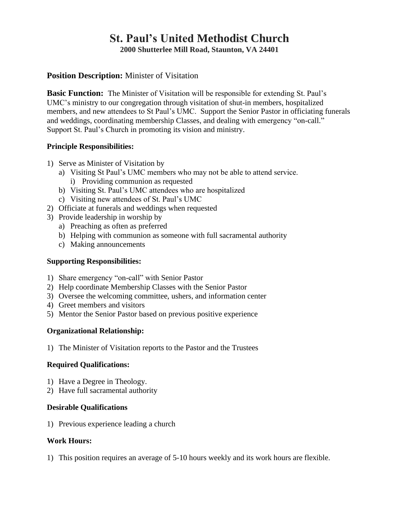# **St. Paul's United Methodist Church 2000 Shutterlee Mill Road, Staunton, VA 24401**

# **Position Description:** Minister of Visitation

**Basic Function:** The Minister of Visitation will be responsible for extending St. Paul's UMC's ministry to our congregation through visitation of shut-in members, hospitalized members, and new attendees to St Paul's UMC. Support the Senior Pastor in officiating funerals and weddings, coordinating membership Classes, and dealing with emergency "on-call." Support St. Paul's Church in promoting its vision and ministry.

#### **Principle Responsibilities:**

- 1) Serve as Minister of Visitation by
	- a) Visiting St Paul's UMC members who may not be able to attend service. i) Providing communion as requested
	- b) Visiting St. Paul's UMC attendees who are hospitalized
	- c) Visiting new attendees of St. Paul's UMC
- 2) Officiate at funerals and weddings when requested
- 3) Provide leadership in worship by
	- a) Preaching as often as preferred
	- b) Helping with communion as someone with full sacramental authority
	- c) Making announcements

### **Supporting Responsibilities:**

- 1) Share emergency "on-call" with Senior Pastor
- 2) Help coordinate Membership Classes with the Senior Pastor
- 3) Oversee the welcoming committee, ushers, and information center
- 4) Greet members and visitors
- 5) Mentor the Senior Pastor based on previous positive experience

## **Organizational Relationship:**

1) The Minister of Visitation reports to the Pastor and the Trustees

#### **Required Qualifications:**

- 1) Have a Degree in Theology.
- 2) Have full sacramental authority

#### **Desirable Qualifications**

1) Previous experience leading a church

#### **Work Hours:**

1) This position requires an average of 5-10 hours weekly and its work hours are flexible.